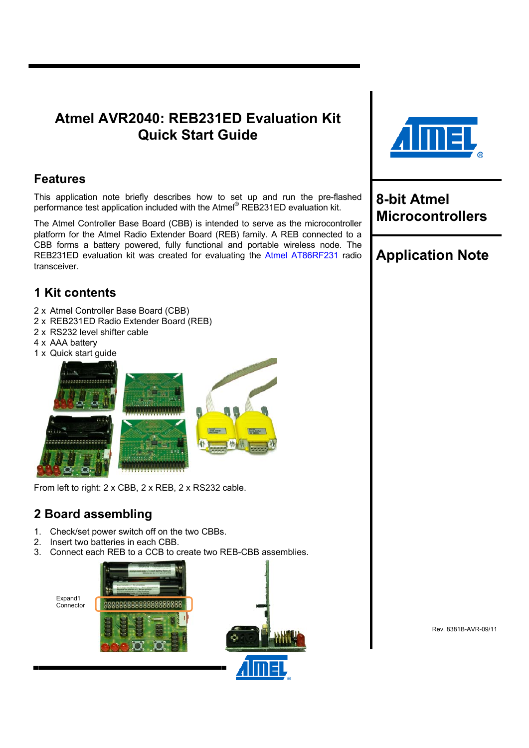## **Atmel AVR2040: REB231ED Evaluation Kit Quick Start Guide**

### **Features**

This application note briefly describes how to set up and run the pre-flashed performance test application included with the Atmel® REB231ED evaluation kit.

The Atmel Controller Base Board (CBB) is intended to serve as the microcontroller platform for the Atmel Radio Extender Board (REB) family. A REB connected to a CBB forms a battery powered, fully functional and portable wireless node. The REB231ED evaluation kit was created for evaluating the [Atmel AT86RF231](http://www.atmel.com/dyn/products/product_card.asp?part_id=4338) radio transceiver.

## **1 Kit contents**

- 2 x Atmel Controller Base Board (CBB)
- 2 x REB231ED Radio Extender Board (REB)
- 2 x RS232 level shifter cable
- 4 x AAA battery
- 1 x Quick start guide



From left to right: 2 x CBB, 2 x REB, 2 x RS232 cable.

## <span id="page-0-0"></span>**2 Board assembling**

Expand1 Connector

- 1. Check/set power switch off on the two CBBs.
- 2. Insert two batteries in each CBB.
- 3. Connect each REB to a CCB to create two REB-CBB assemblies.







## **8-bit Atmel Microcontrollers**

# **Application Note**

Rev. 8381B-AVR-09/11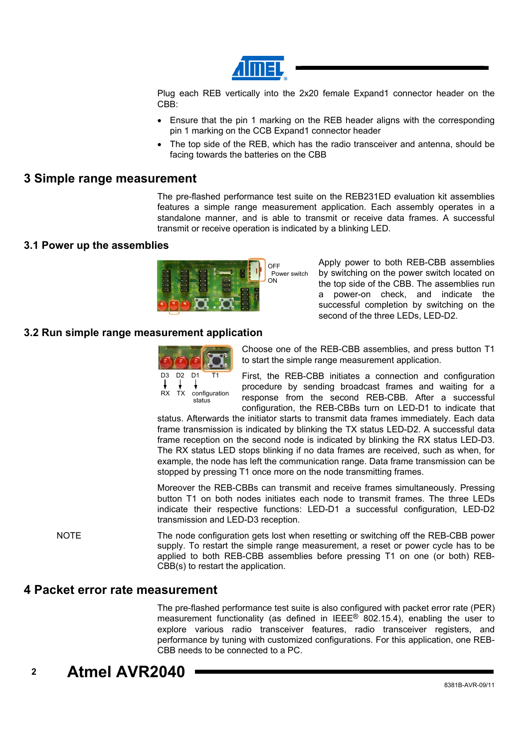

Plug each REB vertically into the 2x20 female Expand1 connector header on the CBB:

- Ensure that the pin 1 marking on the REB header aligns with the corresponding pin 1 marking on the CCB Expand1 connector header
- The top side of the REB, which has the radio transceiver and antenna, should be facing towards the batteries on the CBB

### **3 Simple range measurement**

The pre-flashed performance test suite on the REB231ED evaluation kit assemblies features a simple range measurement application. Each assembly operates in a standalone manner, and is able to transmit or receive data frames. A successful transmit or receive operation is indicated by a blinking LED.

#### **3.1 Power up the assemblies**



Apply power to both REB-CBB assemblies by switching on the power switch located on the top side of the CBB. The assemblies run a power-on check, and indicate the successful completion by switching on the second of the three LEDs, LED-D2.

#### **3.2 Run simple range measurement application**



Choose one of the REB-CBB assemblies, and press button T1 to start the simple range measurement application.

First, the REB-CBB initiates a connection and configuration procedure by sending broadcast frames and waiting for a response from the second REB-CBB. After a successful configuration, the REB-CBBs turn on LED-D1 to indicate that

status. Afterwards the initiator starts to transmit data frames immediately. Each data frame transmission is indicated by blinking the TX status LED-D2. A successful data frame reception on the second node is indicated by blinking the RX status LED-D3. The RX status LED stops blinking if no data frames are received, such as when, for example, the node has left the communication range. Data frame transmission can be stopped by pressing T1 once more on the node transmitting frames.

Moreover the REB-CBBs can transmit and receive frames simultaneously. Pressing button T1 on both nodes initiates each node to transmit frames. The three LEDs indicate their respective functions: LED-D1 a successful configuration, LED-D2 transmission and LED-D3 reception.

NOTE The node configuration gets lost when resetting or switching off the REB-CBB power supply. To restart the simple range measurement, a reset or power cycle has to be applied to both REB-CBB assemblies before pressing T1 on one (or both) REB-CBB(s) to restart the application.

#### **4 Packet error rate measurement**

The pre-flashed performance test suite is also configured with packet error rate (PER) measurement functionality (as defined in IEEE® 802.15.4), enabling the user to explore various radio transceiver features, radio transceiver registers, and performance by tuning with customized configurations. For this application, one REB-CBB needs to be connected to a PC.

# **2 Atmel AVR2040**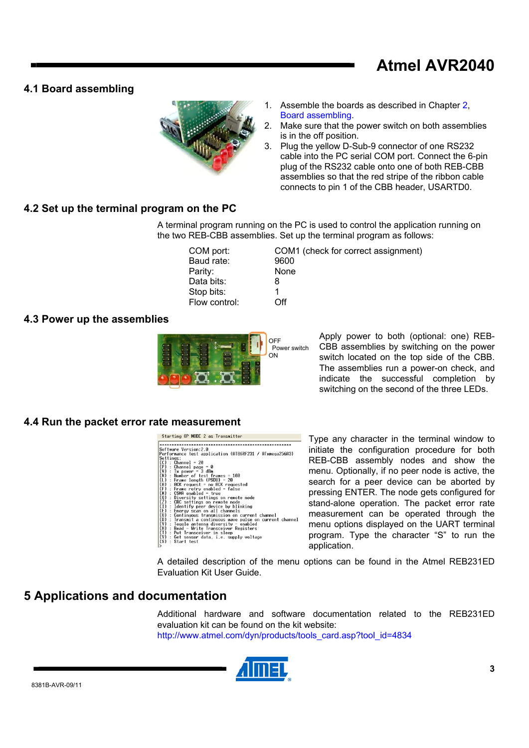# **Atmel AVR2040**

### **4.1 Board assembling**



- 1. Assemble the boards as described in Chapter [2](#page-0-0), [Board assembling.](#page-0-0)
- 2. Make sure that the power switch on both assemblies is in the off position.
- 3. Plug the yellow D-Sub-9 connector of one RS232 cable into the PC serial COM port. Connect the 6-pin plug of the RS232 cable onto one of both REB-CBB assemblies so that the red stripe of the ribbon cable connects to pin 1 of the CBB header, USARTD0.

### **4.2 Set up the terminal program on the PC**

A terminal program running on the PC is used to control the application running on the two REB-CBB assemblies. Set up the terminal program as follows:

Baud rate: 9600 Parity: None Data bits: 8 Stop bits: 1 Flow control: Off

COM port: COM1 (check for correct assignment)

#### **4.3 Power up the assemblies**



Apply power to both (optional: one) REB-CBB assemblies by switching on the power switch located on the top side of the CBB. The assemblies run a power-on check, and indicate the successful completion by switching on the second of the three LEDs.

#### **4.4 Run the packet error rate measurement**

#### Starting OP MODE 2 as Transmitter

| Software Version:2.0                                                                                                                                                                                                                       |
|--------------------------------------------------------------------------------------------------------------------------------------------------------------------------------------------------------------------------------------------|
| Performance test application (AT86RF231 / ATxmega256A3)                                                                                                                                                                                    |
| Settings:                                                                                                                                                                                                                                  |
|                                                                                                                                                                                                                                            |
|                                                                                                                                                                                                                                            |
|                                                                                                                                                                                                                                            |
| (C) : Channel = 20<br>(P) : Channel page = 0<br>(W) : Tx power = 3 dBm<br>(N) : Number of test frames = 100                                                                                                                                |
|                                                                                                                                                                                                                                            |
|                                                                                                                                                                                                                                            |
|                                                                                                                                                                                                                                            |
| (1) : Frame length (PSDU) = 20<br>(1) : Frame length (PSDU) = 20<br>(8) : Frame retry enabled = false<br>(8) : CSMM enabled = frue<br>(8) : CSMM enabled = frue<br>(0) : Diversity settings on remote node<br>(2) : CRC settings on remote |
| : Diversity settings on remote node                                                                                                                                                                                                        |
|                                                                                                                                                                                                                                            |
| : Identify peer device by blinking                                                                                                                                                                                                         |
| : Energy scan on all channels                                                                                                                                                                                                              |
|                                                                                                                                                                                                                                            |
| : Continuous transmission on current channel                                                                                                                                                                                               |
| (己)<br>(U)<br>(V)<br>(Y)<br>: Transmit a continuous wave pulse on current channel                                                                                                                                                          |
| : Toggle antenna diversity - enabled                                                                                                                                                                                                       |
| (H) : Read - Write Transceiver<br>(T) : Put Transceiver in sleep<br>(V) : Get sensor data, i.e. sup<br>: Read - Write Transceiver Registers                                                                                                |
|                                                                                                                                                                                                                                            |
| : Get sensor data, i.e. supply voltage                                                                                                                                                                                                     |
| : Start test                                                                                                                                                                                                                               |
|                                                                                                                                                                                                                                            |

Type any character in the terminal window to initiate the configuration procedure for both REB-CBB assembly nodes and show the menu. Optionally, if no peer node is active, the search for a peer device can be aborted by pressing ENTER. The node gets configured for stand-alone operation. The packet error rate measurement can be operated through the menu options displayed on the UART terminal program. Type the character "S" to run the application.

A detailed description of the menu options can be found in the Atmel REB231ED Evaluation Kit User Guide.

### **5 Applications and documentation**

Additional hardware and software documentation related to the REB231ED evaluation kit can be found on the kit website: [http://www.atmel.com/dyn/products/tools\\_card.asp?tool\\_id=4834](http://www.atmel.com/dyn/products/tools_card.asp?tool_id=4834)

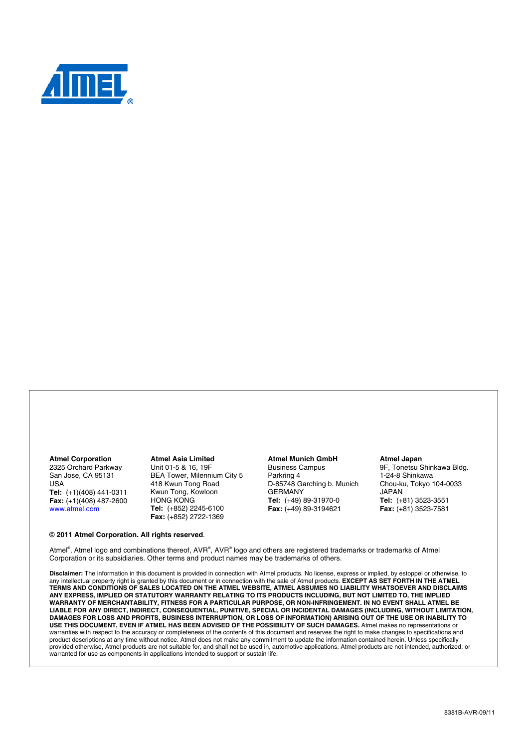

#### **Atmel Corporation**

2325 Orchard Parkway San Jose, CA 95131 USA **Tel:** (+1)(408) 441-0311 **Fax:** (+1)(408) 487-2600 [www.atmel.com](http://www2.atmel.com/)

**© 2011 Atmel Corporation. All rights reserved**.

**Atmel Asia Limited**  Unit 01-5 & 16, 19F BEA Tower, Milennium City 5 418 Kwun Tong Road Kwun Tong, Kowloon HONG KONG **Tel:** (+852) 2245-6100 **Fax:** (+852) 2722-1369

#### **Atmel Munich GmbH**

Business Campus Parkring 4 D-85748 Garching b. Munich GERMANY **Tel:** (+49) 89-31970-0 **Fax:** (+49) 89-3194621

#### **Atmel Japan**

9F, Tonetsu Shinkawa Bldg. 1-24-8 Shinkawa Chou-ku, Tokyo 104-0033 JAPAN **Tel:** (+81) 3523-3551 **Fax:** (+81) 3523-7581

Atmel®, Atmel logo and combinations thereof, AVR®, AVR® logo and others are registered trademarks or trademarks of Atmel Corporation or its subsidiaries. Other terms and product names may be trademarks of others.

**Disclaimer:** The information in this document is provided in connection with Atmel products. No license, express or implied, by estoppel or otherwise, to any intellectual property right is granted by this document or in connection with the sale of Atmel products. **EXCEPT AS SET FORTH IN THE ATMEL TERMS AND CONDITIONS OF SALES LOCATED ON THE ATMEL WEBSITE, ATMEL ASSUMES NO LIABILITY WHATSOEVER AND DISCLAIMS ANY EXPRESS, IMPLIED OR STATUTORY WARRANTY RELATING TO ITS PRODUCTS INCLUDING, BUT NOT LIMITED TO, THE IMPLIED WARRANTY OF MERCHANTABILITY, FITNESS FOR A PARTICULAR PURPOSE, OR NON-INFRINGEMENT. IN NO EVENT SHALL ATMEL BE LIABLE FOR ANY DIRECT, INDIRECT, CONSEQUENTIAL, PUNITIVE, SPECIAL OR INCIDENTAL DAMAGES (INCLUDING, WITHOUT LIMITATION, DAMAGES FOR LOSS AND PROFITS, BUSINESS INTERRUPTION, OR LOSS OF INFORMATION) ARISING OUT OF THE USE OR INABILITY TO USE THIS DOCUMENT, EVEN IF ATMEL HAS BEEN ADVISED OF THE POSSIBILITY OF SUCH DAMAGES.** Atmel makes no representations or warranties with respect to the accuracy or completeness of the contents of this document and reserves the right to make changes to specifications and product descriptions at any time without notice. Atmel does not make any commitment to update the information contained herein. Unless specifically provided otherwise, Atmel products are not suitable for, and shall not be used in, automotive applications. Atmel products are not intended, authorized, or warranted for use as components in applications intended to support or sustain life.